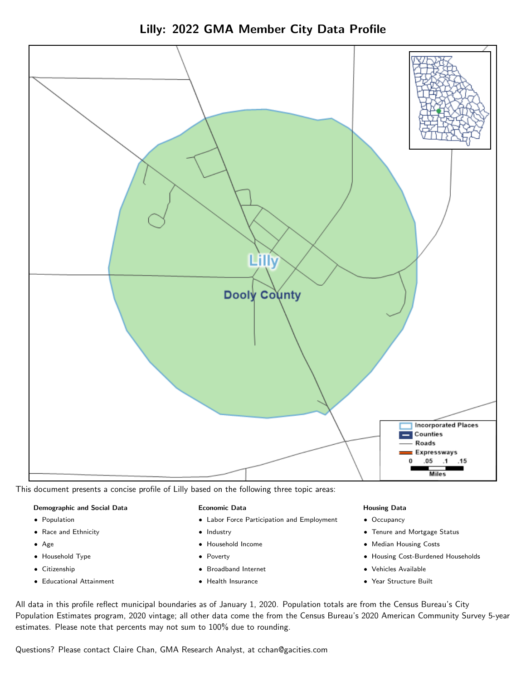Lilly: 2022 GMA Member City Data Profile



This document presents a concise profile of Lilly based on the following three topic areas:

## Demographic and Social Data

- **•** Population
- Race and Ethnicity
- Age
- Household Type
- **Citizenship**
- Educational Attainment

#### Economic Data

- Labor Force Participation and Employment
- Industry
- Household Income
- Poverty
- Broadband Internet
- Health Insurance

#### Housing Data

- Occupancy
- Tenure and Mortgage Status
- Median Housing Costs
- Housing Cost-Burdened Households
- Vehicles Available
- Year Structure Built

All data in this profile reflect municipal boundaries as of January 1, 2020. Population totals are from the Census Bureau's City Population Estimates program, 2020 vintage; all other data come the from the Census Bureau's 2020 American Community Survey 5-year estimates. Please note that percents may not sum to 100% due to rounding.

Questions? Please contact Claire Chan, GMA Research Analyst, at [cchan@gacities.com.](mailto:cchan@gacities.com)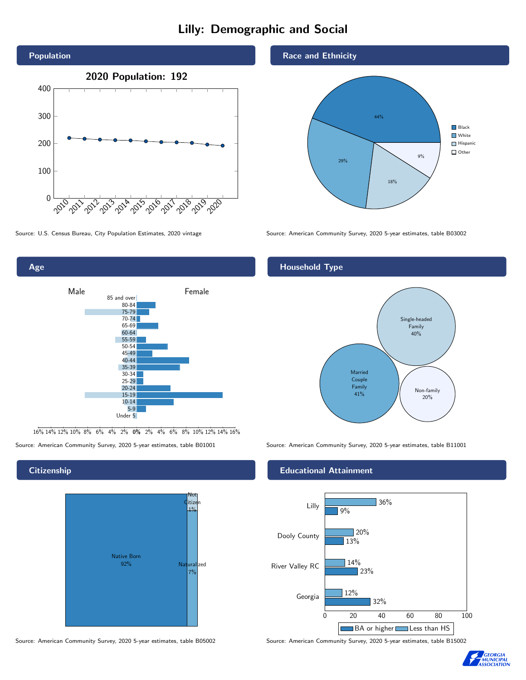# Lilly: Demographic and Social





16% 14% 12% 10% 8% 6% 4% 2% 0% 2% 4% 6% 8% 10% 12% 14% 16%

## **Citizenship**



Source: American Community Survey, 2020 5-year estimates, table B05002 Source: American Community Survey, 2020 5-year estimates, table B15002

## Race and Ethnicity



Source: U.S. Census Bureau, City Population Estimates, 2020 vintage Source: American Community Survey, 2020 5-year estimates, table B03002

## Household Type



Source: American Community Survey, 2020 5-year estimates, table B01001 Source: American Community Survey, 2020 5-year estimates, table B11001

## Educational Attainment



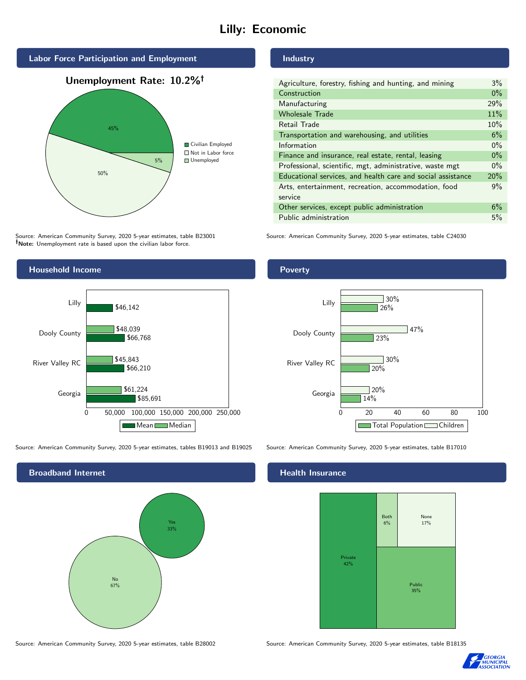# Lilly: Economic



Source: American Community Survey, 2020 5-year estimates, table B23001 Note: Unemployment rate is based upon the civilian labor force.



| $3\%$ |
|-------|
| $0\%$ |
| 29%   |
| 11%   |
| 10%   |
| 6%    |
| $0\%$ |
| $0\%$ |
| $0\%$ |
| 20%   |
| 9%    |
|       |
| 6%    |
| 5%    |
|       |

Source: American Community Survey, 2020 5-year estimates, table C24030



Source: American Community Survey, 2020 5-year estimates, tables B19013 and B19025 Source: American Community Survey, 2020 5-year estimates, table B17010

Broadband Internet No 67% Yes 33%

## Health Insurance



Source: American Community Survey, 2020 5-year estimates, table B28002 Source: American Community Survey, 2020 5-year estimates, table B18135